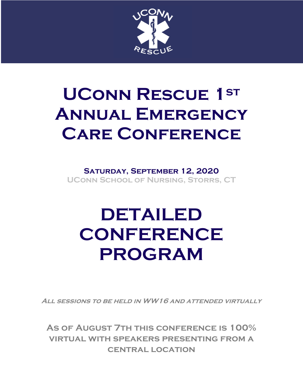

# **UConn Rescue 1st Annual Emergency Care Conference**

**Saturday, September 12, 2020 UConn School of Nursing, Storrs, CT**

# **DETAILED CONFERENCE PROGRAM**

**All sessions to be held in WW16 and attended virtually**

**As of August 7th this conference is 100% virtual with speakers presenting from a central location**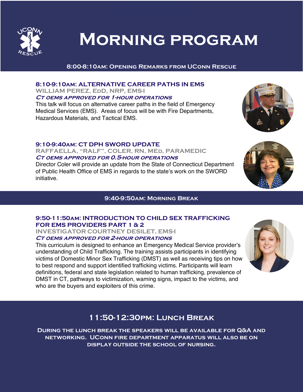

## **Morning program**

#### **8:00-8:10am: Opening Remarks from UConn Rescue**

#### **8:10-9:10am: ALTERNATIVE CAREER PATHS IN EMS WILLIAM PEREZ, EdD, NRP, EMS-I**

**Ct oems approved for 1-hour operations** 

This talk will focus on alternative career paths in the field of Emergency Medical Services (EMS). Areas of focus will be with Fire Departments, Hazardous Materials, and Tactical EMS.

#### **9:10-9:40am: CT DPH SWORD UPDATE**

**RAFFAELLA, "RALF", COLER, RN, MEd, PARAMEDIC Ct oems approved for 0.5-hour operations**

Director Coler will provide an update from the State of Connecticut Department of Public Health Office of EMS in regards to the state's work on the SWORD initiative.

#### **9:40-9:50am: Morning Break**

#### **9:50-11:50am: INTRODUCTION TO CHILD SEX TRAFFICKING FOR EMS PROVIDERS PART 1 & 2**

**INVESTIGATOR COURTNEY DESILET, EMS-I**

#### **Ct oems approved for 2-hour operations**

This curriculum is designed to enhance an Emergency Medical Service provider's understanding of Child Trafficking. The training assists participants in identifying victims of Domestic Minor Sex Trafficking (DMST) as well as receiving tips on how to best respond and support identified trafficking victims. Participants will learn definitions, federal and state legislation related to human trafficking, prevalence of DMST in CT, pathways to victimization, warning signs, impact to the victims, and who are the buyers and exploiters of this crime.



### **11:50-12:30pm: Lunch Break**

**During the lunch break the speakers will be available for Q&A and networking. UConn fire department apparatus will also be on display outside the school of nursing.** 

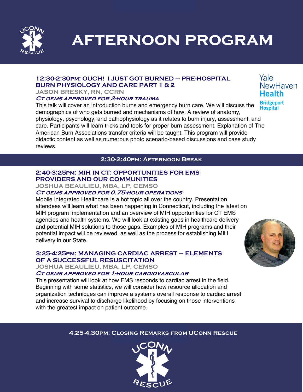

**afternoon program**

#### **12:30-2:30pm: OUCH! I JUST GOT BURNED – PRE-HOSPITAL BURN PHYSIOLOGY AND CARE PART 1 & 2**

**JASON BRESKY, RN, CCRN**

#### **Ct oems approved for 2-hour trauma**

This talk will cover an introduction burns and emergency burn care. We will discuss the demographics of who gets burned and mechanisms of how. A review of anatomy, physiology, psychology, and pathophysiology as it relates to burn injury, assessment, and care. Participants will learn tricks and tools for proper burn assessment. Explanation of The American Burn Associations transfer criteria will be taught. This program will provide didactic content as well as numerous photo scenario-based discussions and case study reviews.

#### **2:30-2:40pm: Afternoon Break**

#### **2:40-3:25pm: MIH IN CT: OPPORTUNITIES FOR EMS PROVIDERS AND OUR COMMUNITIES**

**JOSHUA BEAULIEU, MBA, LP, CEMSO**

#### **Ct oems approved for 0.75-hour operations**

Mobile Integrated Healthcare is a hot topic all over the country. Presentation attendees will learn what has been happening in Connecticut, including the latest on MIH program implementation and an overview of MIH opportunities for CT EMS agencies and health systems. We will look at existing gaps in healthcare delivery and potential MIH solutions to those gaps. Examples of MIH programs and their potential impact will be reviewed, as well as the process for establishing MIH delivery in our State.

#### **3:25-4:25pm: MANAGING CARDIAC ARREST – ELEMENTS OF A SUCCESSFUL RESUSCITATION**

**JOSHUA BEAULIEU, MBA, LP, CEMSO**

#### **Ct oems approved for 1-hour cardiovascular**

This presentation will look at how EMS responds to cardiac arrest in the field. Beginning with some statistics, we will consider how resource allocation and organization techniques can improve a systems overall response to cardiac arrest and increase survival to discharge likelihood by focusing on those interventions with the greatest impact on patient outcome.

#### **4:25-4:30pm: Closing Remarks from UConn Rescue**



Yale NewHaven **Health Bridgeport Hospital**